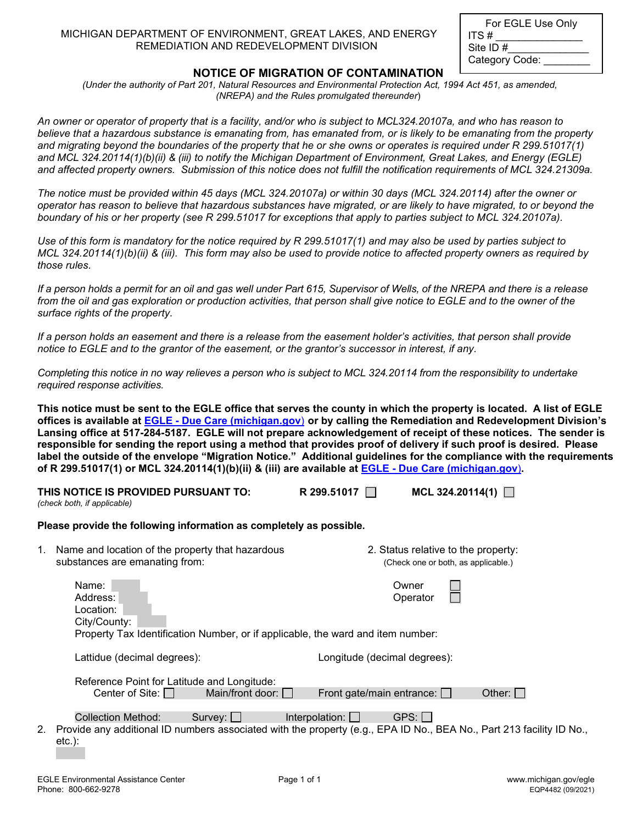| MICHIGAN DEPARTMENT OF ENVIRONMENT, GREAT LAKES, AND ENERGY |  |
|-------------------------------------------------------------|--|
| REMEDIATION AND REDEVELOPMENT DIVISION                      |  |

| For EGLE Use Only |
|-------------------|
| ITS #             |
| Site ID #         |
| Category Code:    |

## **NOTICE OF MIGRATION OF CONTAMINATION**

*(Under the authority of Part 201, Natural Resources and Environmental Protection Act, 1994 Act 451, as amended, (NREPA) and the Rules promulgated thereunder*)

*An owner or operator of property that is a facility, and/or who is subject to MCL324.20107a, and who has reason to believe that a hazardous substance is emanating from, has emanated from, or is likely to be emanating from the property and migrating beyond the boundaries of the property that he or she owns or operates is required under R 299.51017(1) and MCL 324.20114(1)(b)(ii) & (iii) to notify the Michigan Department of Environment, Great Lakes, and Energy (EGLE) and affected property owners. Submission of this notice does not fulfill the notification requirements of MCL 324.21309a.*

*The notice must be provided within 45 days (MCL 324.20107a) or within 30 days (MCL 324.20114) after the owner or operator has reason to believe that hazardous substances have migrated, or are likely to have migrated, to or beyond the boundary of his or her property (see R 299.51017 for exceptions that apply to parties subject to MCL 324.20107a).*

*Use of this form is mandatory for the notice required by R 299.51017(1) and may also be used by parties subject to MCL 324.20114(1)(b)(ii) & (iii). This form may also be used to provide notice to affected property owners as required by those rules*.

*If a person holds a permit for an oil and gas well under Part 615, Supervisor of Wells, of the NREPA and there is a release from the oil and gas exploration or production activities, that person shall give notice to EGLE and to the owner of the surface rights of the property.*

*If a person holds an easement and there is a release from the easement holder's activities, that person shall provide notice to EGLE and to the grantor of the easement, or the grantor's successor in interest, if any.* 

*Completing this notice in no way relieves a person who is subject to MCL 324.20114 from the responsibility to undertake required response activities.*

**This notice must be sent to the EGLE office that serves the county in which the property is located. A list of EGLE offices is available at EGLE - [Due Care \(michigan.gov](https://www.michigan.gov/egle/0,9429,7-135-3311_4109_59851---,00.html)**) **or by calling the Remediation and Redevelopment Division's Lansing office at 517-284-5187. EGLE will not prepare acknowledgement of receipt of these notices. The sender is responsible for sending the report using a method that provides proof of delivery if such proof is desired. Please label the outside of the envelope "Migration Notice." Additional guidelines for the compliance with the requirements of R 299.51017(1) or MCL 324.20114(1)(b)(ii) & (iii) are available at EGLE - [Due Care \(michigan.gov](https://www.michigan.gov/egle/0,9429,7-135-3311_4109_59851---,00.html)**)**.** 

|    | THIS NOTICE IS PROVIDED PURSUANT TO:<br>(check both, if applicable)                                                               | R 299.51017 <del>□</del><br>MCL 324.20114(1) $\Box$                                                                                                     |
|----|-----------------------------------------------------------------------------------------------------------------------------------|---------------------------------------------------------------------------------------------------------------------------------------------------------|
|    | Please provide the following information as completely as possible.                                                               |                                                                                                                                                         |
| 1. | Name and location of the property that hazardous<br>substances are emanating from:                                                | 2. Status relative to the property:<br>(Check one or both, as applicable.)                                                                              |
|    | Name:<br>Address:<br>Location:<br>City/County:<br>Property Tax Identification Number, or if applicable, the ward and item number: | Owner<br>Operator                                                                                                                                       |
|    | Lattidue (decimal degrees):                                                                                                       | Longitude (decimal degrees):                                                                                                                            |
|    | Reference Point for Latitude and Longitude:<br>Main/front door:<br>Center of Site:                                                | Front gate/main entrance: $\Box$<br>Other: I                                                                                                            |
| 2. | <b>Collection Method:</b><br>$S$ urvey: $\Box$<br>$etc.$ ):                                                                       | GPS:  <br>Interpolation: $\Box$<br>Provide any additional ID numbers associated with the property (e.g., EPA ID No., BEA No., Part 213 facility ID No., |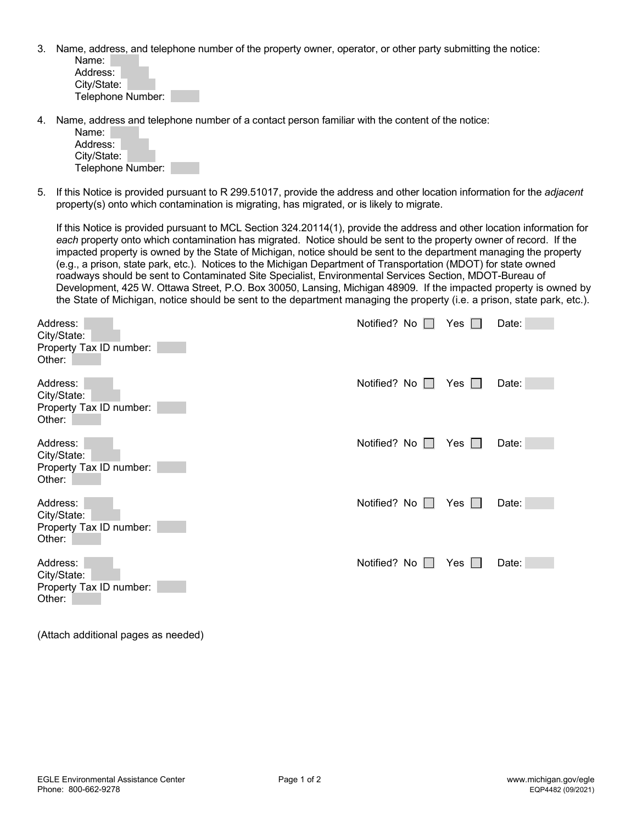3. Name, address, and telephone number of the property owner, operator, or other party submitting the notice: Name:

| Address:          |  |
|-------------------|--|
| City/State:       |  |
| Telephone Number: |  |

4. Name, address and telephone number of a contact person familiar with the content of the notice:

| Name:             |  |
|-------------------|--|
| Address:          |  |
| City/State:       |  |
| Telephone Number: |  |

5. If this Notice is provided pursuant to R 299.51017, provide the address and other location information for the *adjacent* property(s) onto which contamination is migrating, has migrated, or is likely to migrate.

If this Notice is provided pursuant to MCL Section 324.20114(1), provide the address and other location information for *each* property onto which contamination has migrated. Notice should be sent to the property owner of record. If the impacted property is owned by the State of Michigan, notice should be sent to the department managing the property (e.g., a prison, state park, etc.). Notices to the Michigan Department of Transportation (MDOT) for state owned roadways should be sent to Contaminated Site Specialist, Environmental Services Section, MDOT-Bureau of Development, 425 W. Ottawa Street, P.O. Box 30050, Lansing, Michigan 48909. If the impacted property is owned by the State of Michigan, notice should be sent to the department managing the property (i.e. a prison, state park, etc.).

| Address:<br>City/State:<br>Property Tax ID number:<br>Other: | Notified? No $\Box$ | Yes $\Box$ | Date: |
|--------------------------------------------------------------|---------------------|------------|-------|
| Address:<br>City/State:<br>Property Tax ID number:<br>Other: | Notified? No $\Box$ | Yes        | Date: |
| Address:<br>City/State:<br>Property Tax ID number:<br>Other: | Notified? No $\Box$ | Yes $\Box$ | Date: |
| Address:<br>City/State:<br>Property Tax ID number:<br>Other: | Notified? No $\Box$ | Yes $\Box$ | Date: |
| Address:<br>City/State:<br>Property Tax ID number:<br>Other: | Notified? No □      | Yes        | Date: |

(Attach additional pages as needed)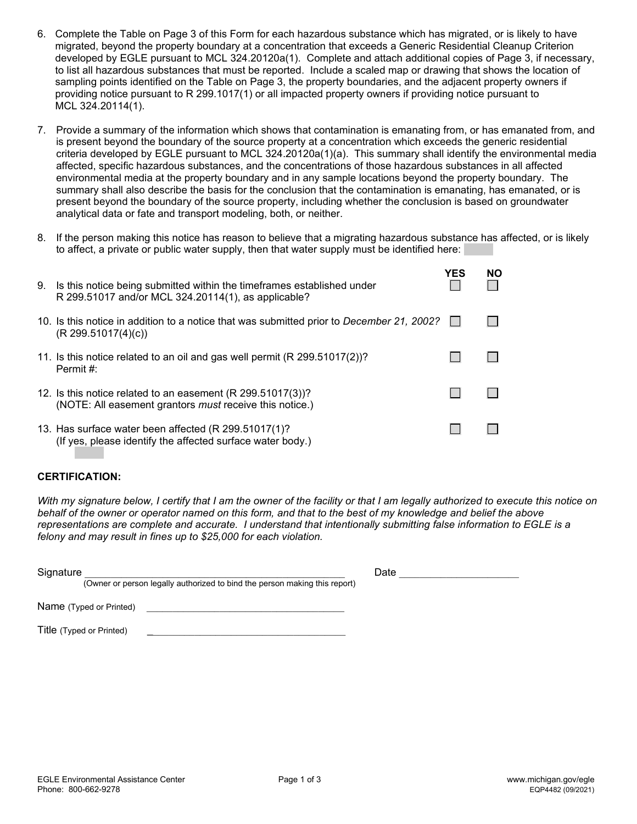- 6. Complete the Table on Page 3 of this Form for each hazardous substance which has migrated, or is likely to have migrated, beyond the property boundary at a concentration that exceeds a Generic Residential Cleanup Criterion developed by EGLE pursuant to MCL 324.20120a(1). Complete and attach additional copies of Page 3, if necessary, to list all hazardous substances that must be reported. Include a scaled map or drawing that shows the location of sampling points identified on the Table on Page 3, the property boundaries, and the adjacent property owners if providing notice pursuant to R 299.1017(1) or all impacted property owners if providing notice pursuant to MCL 324.20114(1).
- 7. Provide a summary of the information which shows that contamination is emanating from, or has emanated from, and is present beyond the boundary of the source property at a concentration which exceeds the generic residential criteria developed by EGLE pursuant to MCL 324.20120a(1)(a). This summary shall identify the environmental media affected, specific hazardous substances, and the concentrations of those hazardous substances in all affected environmental media at the property boundary and in any sample locations beyond the property boundary. The summary shall also describe the basis for the conclusion that the contamination is emanating, has emanated, or is present beyond the boundary of the source property, including whether the conclusion is based on groundwater analytical data or fate and transport modeling, both, or neither.
- 8. If the person making this notice has reason to believe that a migrating hazardous substance has affected, or is likely to affect, a private or public water supply, then that water supply must be identified here:

| 9. | Is this notice being submitted within the timeframes established under<br>R 299.51017 and/or MCL 324.20114(1), as applicable? | YES | NO. |
|----|-------------------------------------------------------------------------------------------------------------------------------|-----|-----|
|    | 10. Is this notice in addition to a notice that was submitted prior to December 21, 2002?<br>(R 299.51017(4)(c))              |     |     |
|    | 11. Is this notice related to an oil and gas well permit (R 299.51017(2))?<br>Permit #:                                       |     |     |
|    | 12. Is this notice related to an easement (R 299.51017(3))?<br>(NOTE: All easement grantors must receive this notice.)        |     |     |
|    | 13. Has surface water been affected (R 299.51017(1)?<br>(If yes, please identify the affected surface water body.)            |     |     |

## **CERTIFICATION:**

*With my signature below, I certify that I am the owner of the facility or that I am legally authorized to execute this notice on behalf of the owner or operator named on this form, and that to the best of my knowledge and belief the above representations are complete and accurate. I understand that intentionally submitting false information to EGLE is a felony and may result in fines up to \$25,000 for each violation.*

| Signature<br>(Owner or person legally authorized to bind the person making this report) | Date |
|-----------------------------------------------------------------------------------------|------|
| Name (Typed or Printed)                                                                 |      |
| Title (Typed or Printed)                                                                |      |